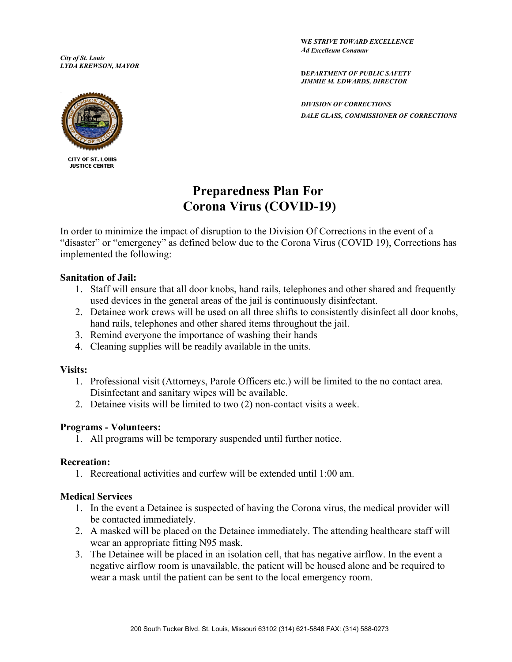*City of St. Louis LYDA KREWSON, MAYOR*  **W***E STRIVE TOWARD EXCELLENCE Ad Excelleum Conamur*

**D***EPARTMENT OF PUBLIC SAFETY JIMMIE M. EDWARDS, DIRECTOR*

*DIVISION OF CORRECTIONS DALE GLASS, COMMISSIONER OF CORRECTIONS*



CITY OF ST. LOUIS **JUSTICE CENTER** 

# **Preparedness Plan For Corona Virus (COVID-19)**

In order to minimize the impact of disruption to the Division Of Corrections in the event of a "disaster" or "emergency" as defined below due to the Corona Virus (COVID 19), Corrections has implemented the following:

### **Sanitation of Jail:**

- 1. Staff will ensure that all door knobs, hand rails, telephones and other shared and frequently used devices in the general areas of the jail is continuously disinfectant.
- 2. Detainee work crews will be used on all three shifts to consistently disinfect all door knobs, hand rails, telephones and other shared items throughout the jail.
- 3. Remind everyone the importance of washing their hands
- 4. Cleaning supplies will be readily available in the units.

#### **Visits:**

- 1. Professional visit (Attorneys, Parole Officers etc.) will be limited to the no contact area. Disinfectant and sanitary wipes will be available.
- 2. Detainee visits will be limited to two (2) non-contact visits a week.

## **Programs - Volunteers:**

1. All programs will be temporary suspended until further notice.

#### **Recreation:**

1. Recreational activities and curfew will be extended until 1:00 am.

## **Medical Services**

- 1. In the event a Detainee is suspected of having the Corona virus, the medical provider will be contacted immediately.
- 2. A masked will be placed on the Detainee immediately. The attending healthcare staff will wear an appropriate fitting N95 mask.
- 3. The Detainee will be placed in an isolation cell, that has negative airflow. In the event a negative airflow room is unavailable, the patient will be housed alone and be required to wear a mask until the patient can be sent to the local emergency room.